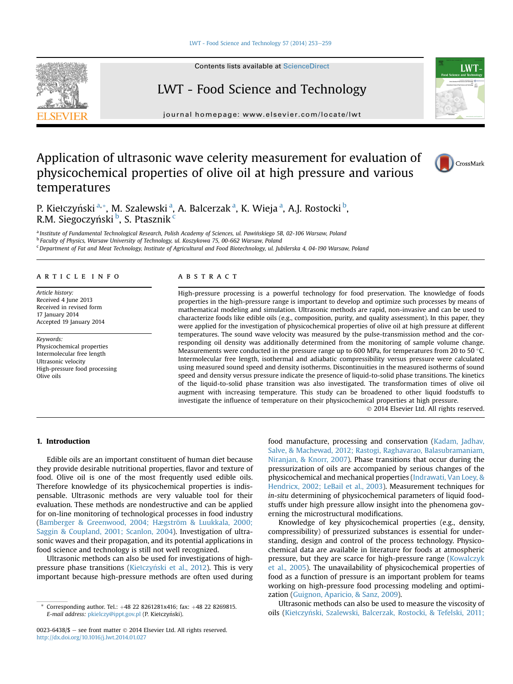### LWT - Food Science and Technology 57 (2014)  $253-259$  $253-259$



# LWT - Food Science and Technology

journal homepage: [www.elsevier.com/locate/lwt](http://www.elsevier.com/locate/lwt)

# Application of ultrasonic wave celerity measurement for evaluation of physicochemical properties of olive oil at high pressure and various temperatures



**LWT** 



P. Kiełczyński <sup>a, \*</sup>, M. Szalewski <sup>a</sup>, A. Balcerzak <sup>a</sup>, K. Wieja <sup>a</sup>, A.J. Rostocki <sup>b</sup>, R.M. Siegoczyński <sup>b</sup>, S. Ptasznik <sup>c</sup>

a Institute of Fundamental Technological Research, Polish Academy of Sciences, ul. Pawińskiego 5B, 02-106 Warsaw, Poland <sup>b</sup> Faculty of Physics, Warsaw University of Technology, ul. Koszykowa 75, 00-662 Warsaw, Poland <sup>c</sup> Department of Fat and Meat Technology, Institute of Agricultural and Food Biotechnology, ul. Jubilerska 4, 04-190 Warsaw, Poland

## article info

Article history: Received 4 June 2013 Received in revised form 17 January 2014 Accepted 19 January 2014

Keywords: Physicochemical properties Intermolecular free length Ultrasonic velocity High-pressure food processing Olive oils

## **ABSTRACT**

High-pressure processing is a powerful technology for food preservation. The knowledge of foods properties in the high-pressure range is important to develop and optimize such processes by means of mathematical modeling and simulation. Ultrasonic methods are rapid, non-invasive and can be used to characterize foods like edible oils (e.g., composition, purity, and quality assessment). In this paper, they were applied for the investigation of physicochemical properties of olive oil at high pressure at different temperatures. The sound wave velocity was measured by the pulse-transmission method and the corresponding oil density was additionally determined from the monitoring of sample volume change. Measurements were conducted in the pressure range up to 600 MPa, for temperatures from 20 to 50 °C. Intermolecular free length, isothermal and adiabatic compressibility versus pressure were calculated using measured sound speed and density isotherms. Discontinuities in the measured isotherms of sound speed and density versus pressure indicate the presence of liquid-to-solid phase transitions. The kinetics of the liquid-to-solid phase transition was also investigated. The transformation times of olive oil augment with increasing temperature. This study can be broadened to other liquid foodstuffs to investigate the influence of temperature on their physicochemical properties at high pressure.

2014 Elsevier Ltd. All rights reserved.

# 1. Introduction

Edible oils are an important constituent of human diet because they provide desirable nutritional properties, flavor and texture of food. Olive oil is one of the most frequently used edible oils. Therefore knowledge of its physicochemical properties is indispensable. Ultrasonic methods are very valuable tool for their evaluation. These methods are nondestructive and can be applied for on-line monitoring of technological processes in food industry ([Bamberger & Greenwood, 2004; Hægström & Luukkala, 2000;](#page-5-0) [Saggin & Coupland, 2001; Scanlon, 2004\)](#page-5-0). Investigation of ultrasonic waves and their propagation, and its potential applications in food science and technology is still not well recognized.

Ultrasonic methods can also be used for investigations of high-pressure phase transitions ([Kie](#page-6-0)łczyński et al., 2012). This is very important because high-pressure methods are often used during food manufacture, processing and conservation ([Kadam, Jadhav,](#page-6-0) [Salve, & Machewad, 2012; Rastogi, Raghavarao, Balasubramaniam,](#page-6-0) [Niranjan, & Knorr, 2007\)](#page-6-0). Phase transitions that occur during the pressurization of oils are accompanied by serious changes of the physicochemical and mechanical properties ([Indrawati, Van Loey, &](#page-6-0) [Hendricx, 2002; LeBail et al., 2003\)](#page-6-0). Measurement techniques for in-situ determining of physicochemical parameters of liquid foodstuffs under high pressure allow insight into the phenomena governing the microstructural modifications.

Knowledge of key physicochemical properties (e.g., density, compressibility) of pressurized substances is essential for understanding, design and control of the process technology. Physicochemical data are available in literature for foods at atmospheric pressure, but they are scarce for high-pressure range [\(Kowalczyk](#page-6-0) [et al., 2005\)](#page-6-0). The unavailability of physicochemical properties of food as a function of pressure is an important problem for teams working on high-pressure food processing modeling and optimization [\(Guignon, Aparicio, & Sanz, 2009](#page-6-0)).

Ultrasonic methods can also be used to measure the viscosity of Corresponding author. Tel.: +48 22 8261281x416; fax: +48 22 8269815.<br>5 [Kie1czyński, Szalewski, Balcerzak, Rostocki, & Tefelski, 2011; corresponding author. E-mail address: pkielczy@ippt.gov.pl (P. Kietczyński).

E-mail address: [pkielczy@ippt.gov.pl](mailto:pkielczy@ippt.gov.pl) (P. Kiełczyński).

<sup>0023-6438/\$ -</sup> see front matter  $\odot$  2014 Elsevier Ltd. All rights reserved. <http://dx.doi.org/10.1016/j.lwt.2014.01.027>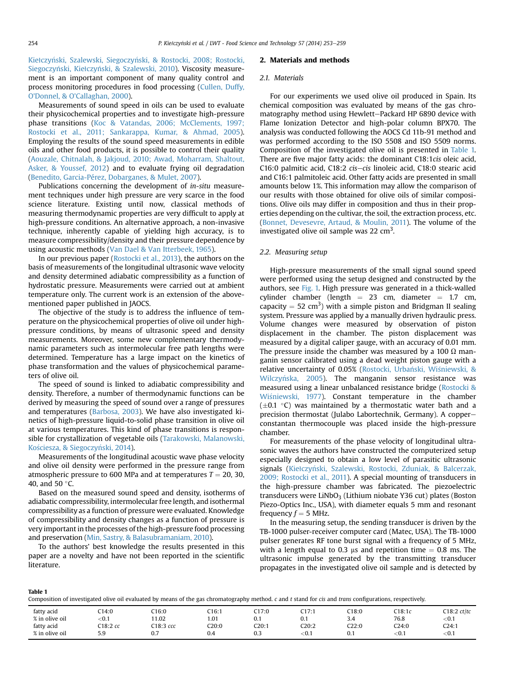[Kie](#page-6-0)łczyński, Szalewski, Siegoczyński, & Rostocki, 2008; Rostocki, Siegoczyński, Kiełczyński, & Szalewski, 2010). Viscosity measurement is an important component of many quality control and process monitoring procedures in food processing ([Cullen, Duffy,](#page-6-0) O'Donnel, & O'[Callaghan, 2000\)](#page-6-0).

Measurements of sound speed in oils can be used to evaluate their physicochemical properties and to investigate high-pressure phase transitions [\(Koc & Vatandas, 2006; McClements, 1997;](#page-6-0) [Rostocki et al., 2011; Sankarappa, Kumar, & Ahmad, 2005\)](#page-6-0). Employing the results of the sound speed measurements in edible oils and other food products, it is possible to control their quality ([Aouzale, Chitnalah, & Jakjoud, 2010; Awad, Moharram, Shaltout,](#page-5-0) [Asker, & Youssef, 2012](#page-5-0)) and to evaluate frying oil degradation ([Benedito, Garcia-Pérez, Dobarganes, & Mulet, 2007\)](#page-6-0).

Publications concerning the development of in-situ measurement techniques under high pressure are very scarce in the food science literature. Existing until now, classical methods of measuring thermodynamic properties are very difficult to apply at high-pressure conditions. An alternative approach, a non-invasive technique, inherently capable of yielding high accuracy, is to measure compressibility/density and their pressure dependence by using acoustic methods [\(Van Dael & Van Itterbeek, 1965\)](#page-6-0).

In our previous paper ([Rostocki et al., 2013](#page-6-0)), the authors on the basis of measurements of the longitudinal ultrasonic wave velocity and density determined adiabatic compressibility as a function of hydrostatic pressure. Measurements were carried out at ambient temperature only. The current work is an extension of the abovementioned paper published in JAOCS.

The objective of the study is to address the influence of temperature on the physicochemical properties of olive oil under highpressure conditions, by means of ultrasonic speed and density measurements. Moreover, some new complementary thermodynamic parameters such as intermolecular free path lengths were determined. Temperature has a large impact on the kinetics of phase transformation and the values of physicochemical parameters of olive oil.

The speed of sound is linked to adiabatic compressibility and density. Therefore, a number of thermodynamic functions can be derived by measuring the speed of sound over a range of pressures and temperatures [\(Barbosa, 2003](#page-5-0)). We have also investigated kinetics of high-pressure liquid-to-solid phase transition in olive oil at various temperatures. This kind of phase transitions is responsible for crystallization of vegetable oils [\(Tarakowski, Malanowski,](#page-6-0) [Ko](#page-6-0)ściesza, & Siegoczyński, 2014).

Measurements of the longitudinal acoustic wave phase velocity and olive oil density were performed in the pressure range from atmospheric pressure to 600 MPa and at temperatures  $T = 20, 30,$ 40, and  $50 °C$ .

Based on the measured sound speed and density, isotherms of adiabatic compressibility, intermolecular free length, and isothermal compressibility as a function of pressure were evaluated. Knowledge of compressibility and density changes as a function of pressure is very important in the processes of the high-pressure food processing and preservation ([Min, Sastry, & Balasubramaniam, 2010\)](#page-6-0).

To the authors' best knowledge the results presented in this paper are a novelty and have not been reported in the scientific literature.

Table 1

#### 2. Materials and methods

## 2.1. Materials

For our experiments we used olive oil produced in Spain. Its chemical composition was evaluated by means of the gas chromatography method using Hewlett-Packard HP 6890 device with Flame Ionization Detector and high-polar column BPX70. The analysis was conducted following the AOCS Cd 11b-91 method and was performed according to the ISO 5508 and ISO 5509 norms. Composition of the investigated olive oil is presented in Table 1. There are five major fatty acids: the dominant C18:1cis oleic acid, C16:0 palmitic acid, C18:2 cis-cis linoleic acid, C18:0 stearic acid and C16:1 palmitoleic acid. Other fatty acids are presented in small amounts below 1%. This information may allow the comparison of our results with those obtained for olive oils of similar compositions. Olive oils may differ in composition and thus in their properties depending on the cultivar, the soil, the extraction process, etc. ([Bonnet, Devesevre, Artaud, & Moulin, 2011](#page-6-0)). The volume of the investigated olive oil sample was 22  $\text{cm}^3$ .

## 2.2. Measuring setup

High-pressure measurements of the small signal sound speed were performed using the setup designed and constructed by the authors, see [Fig. 1.](#page-2-0) High pressure was generated in a thick-walled cylinder chamber (length  $= 23$  cm, diameter  $= 1.7$  cm, capacity  $= 52 \text{ cm}^3$ ) with a simple piston and Bridgman II sealing system. Pressure was applied by a manually driven hydraulic press. Volume changes were measured by observation of piston displacement in the chamber. The piston displacement was measured by a digital caliper gauge, with an accuracy of 0.01 mm. The pressure inside the chamber was measured by a 100  $\Omega$  manganin sensor calibrated using a dead weight piston gauge with a relative uncertainty of 0.05% (Rostocki, Urbański, Wiśniewski, & Wilczyńska, 2005). The manganin sensor resistance was measured using a linear unbalanced resistance bridge ([Rostocki &](#page-6-0) [Wi](#page-6-0)[sniewski, 1977](#page-6-0)). Constant temperature in the chamber  $(\pm 0.1 \degree C)$  was maintained by a thermostatic water bath and a precision thermostat (Julabo Labortechnik, Germany). A copperconstantan thermocouple was placed inside the high-pressure chamber.

For measurements of the phase velocity of longitudinal ultrasonic waves the authors have constructed the computerized setup especially designed to obtain a low level of parasitic ultrasonic signals ([Kie](#page-6-0)łczyński, Szalewski, Rostocki, Zduniak, & Balcerzak, [2009; Rostocki et al., 2011\)](#page-6-0). A special mounting of transducers in the high-pressure chamber was fabricated. The piezoelectric transducers were LiNbO<sub>3</sub> (Lithium niobate Y36 cut) plates (Boston Piezo-Optics Inc., USA), with diameter equals 5 mm and resonant frequency  $f = 5$  MHz.

In the measuring setup, the sending transducer is driven by the TB-1000 pulser-receiver computer card (Matec, USA). The TB-1000 pulser generates RF tone burst signal with a frequency of 5 MHz, with a length equal to 0.3  $\mu$ s and repetition time  $= 0.8$  ms. The ultrasonic impulse generated by the transmitting transducer propagates in the investigated olive oil sample and is detected by

Composition of investigated olive oil evaluated by means of the gas chromatography method. c and t stand for cis and trans configurations, respectively.

| fatty acid<br>% in olive oil | C14:0<br>< 0.1 | C16:0<br>11.02 | C16:1<br>1.01 | C17:0<br>0.1 | C17:1        | C18:0<br>3.4 | C18:1c<br>76.8 | $C18:2$ ct/tc     |
|------------------------------|----------------|----------------|---------------|--------------|--------------|--------------|----------------|-------------------|
| fatty acid                   | C18:2cc        | $C18:3$ $ccc$  | C20:0         | C20:1        | 0.1<br>C20:2 | C22:0        | C24:0          | ${<}0.1$<br>C24:1 |
| % in olive oil               | 5.9            | 0.7            | 0.4           | 0.3          | < 0.1        | 0.1          | < 0.1          | < 0.1             |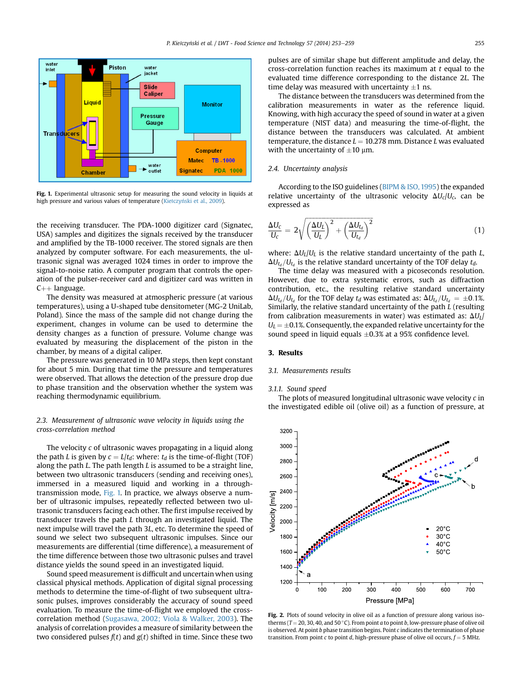<span id="page-2-0"></span>

Fig. 1. Experimental ultrasonic setup for measuring the sound velocity in liquids at high pressure and various values of temperature [\(Kie](#page-6-0)łczyński et al., 2009).

the receiving transducer. The PDA-1000 digitizer card (Signatec, USA) samples and digitizes the signals received by the transducer and amplified by the TB-1000 receiver. The stored signals are then analyzed by computer software. For each measurements, the ultrasonic signal was averaged 1024 times in order to improve the signal-to-noise ratio. A computer program that controls the operation of the pulser-receiver card and digitizer card was written in  $C_{++}$  language.

The density was measured at atmospheric pressure (at various temperatures), using a U-shaped tube densitometer (MG-2 UniLab, Poland). Since the mass of the sample did not change during the experiment, changes in volume can be used to determine the density changes as a function of pressure. Volume change was evaluated by measuring the displacement of the piston in the chamber, by means of a digital caliper.

The pressure was generated in 10 MPa steps, then kept constant for about 5 min. During that time the pressure and temperatures were observed. That allows the detection of the pressure drop due to phase transition and the observation whether the system was reaching thermodynamic equilibrium.

# 2.3. Measurement of ultrasonic wave velocity in liquids using the cross-correlation method

The velocity c of ultrasonic waves propagating in a liquid along the path L is given by  $c = L/t_d$ : where:  $t_d$  is the time-of-flight (TOF) along the path  $L$ . The path length  $L$  is assumed to be a straight line, between two ultrasonic transducers (sending and receiving ones), immersed in a measured liquid and working in a throughtransmission mode, Fig. 1. In practice, we always observe a number of ultrasonic impulses, repeatedly reflected between two ultrasonic transducers facing each other. The first impulse received by transducer travels the path L through an investigated liquid. The next impulse will travel the path 3L, etc. To determine the speed of sound we select two subsequent ultrasonic impulses. Since our measurements are differential (time difference), a measurement of the time difference between those two ultrasonic pulses and travel distance yields the sound speed in an investigated liquid.

Sound speed measurement is difficult and uncertain when using classical physical methods. Application of digital signal processing methods to determine the time-of-flight of two subsequent ultrasonic pulses, improves considerably the accuracy of sound speed evaluation. To measure the time-of-flight we employed the crosscorrelation method ([Sugasawa, 2002; Viola & Walker, 2003\)](#page-6-0). The analysis of correlation provides a measure of similarity between the two considered pulses  $f(t)$  and  $g(t)$  shifted in time. Since these two pulses are of similar shape but different amplitude and delay, the cross-correlation function reaches its maximum at t equal to the evaluated time difference corresponding to the distance 2L. The time delay was measured with uncertainty  $\pm 1$  ns.

The distance between the transducers was determined from the calibration measurements in water as the reference liquid. Knowing, with high accuracy the speed of sound in water at a given temperature (NIST data) and measuring the time-of-flight, the distance between the transducers was calculated. At ambient temperature, the distance  $L = 10.278$  mm. Distance L was evaluated with the uncertainty of  $\pm 10$  µm.

## 2.4. Uncertainty analysis

According to the ISO guidelines [\(BIPM & ISO, 1995\)](#page-6-0) the expanded relative uncertainty of the ultrasonic velocity  $\Delta U_c/U_c$ , can be expressed as

$$
\frac{\Delta U_c}{U_c} = 2\sqrt{\left(\frac{\Delta U_L}{U_L}\right)^2 + \left(\frac{\Delta U_{t_d}}{U_{t_d}}\right)^2} \tag{1}
$$

where:  $\Delta U_L/U_L$  is the relative standard uncertainty of the path L,  $\Delta U_{t_d}/U_{t_d}$  is the relative standard uncertainty of the TOF delay  $t_d$ .

The time delay was measured with a picoseconds resolution. However, due to extra systematic errors, such as diffraction contribution, etc., the resulting relative standard uncertainty  $\Delta U_{t_d}/U_{t_d}$  for the TOF delay  $t_d$  was estimated as:  $\Delta U_{t_d}/U_{t_d} = \pm 0.1\%$ . Similarly, the relative standard uncertainty of the path L (resulting from calibration measurements in water) was estimated as:  $\Delta U_L$  $U_L = \pm 0.1$ %. Consequently, the expanded relative uncertainty for the sound speed in liquid equals  $\pm 0.3$ % at a 95% confidence level.

## 3. Results

#### 3.1. Measurements results

## 3.1.1. Sound speed

The plots of measured longitudinal ultrasonic wave velocity c in the investigated edible oil (olive oil) as a function of pressure, at



Fig. 2. Plots of sound velocity in olive oil as a function of pressure along various isotherms ( $T = 20, 30, 40,$  and  $50^{\circ}$ C). From point a to point b, low-pressure phase of olive oil is observed. At point  $b$  phase transition begins. Point  $c$  indicates the termination of phase transition. From point c to point d, high-pressure phase of olive oil occurs,  $f = 5$  MHz.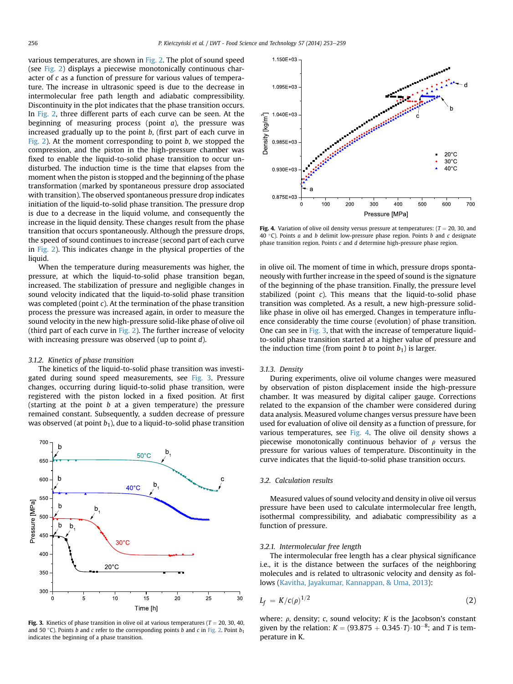various temperatures, are shown in [Fig. 2](#page-2-0). The plot of sound speed (see [Fig. 2\)](#page-2-0) displays a piecewise monotonically continuous character of c as a function of pressure for various values of temperature. The increase in ultrasonic speed is due to the decrease in intermolecular free path length and adiabatic compressibility. Discontinuity in the plot indicates that the phase transition occurs. In [Fig. 2,](#page-2-0) three different parts of each curve can be seen. At the beginning of measuring process (point  $a$ ), the pressure was increased gradually up to the point b, (first part of each curve in [Fig. 2\)](#page-2-0). At the moment corresponding to point  $b$ , we stopped the compression, and the piston in the high-pressure chamber was fixed to enable the liquid-to-solid phase transition to occur undisturbed. The induction time is the time that elapses from the moment when the piston is stopped and the beginning of the phase transformation (marked by spontaneous pressure drop associated with transition). The observed spontaneous pressure drop indicates initiation of the liquid-to-solid phase transition. The pressure drop is due to a decrease in the liquid volume, and consequently the increase in the liquid density. These changes result from the phase transition that occurs spontaneously. Although the pressure drops, the speed of sound continues to increase (second part of each curve in [Fig. 2](#page-2-0)). This indicates change in the physical properties of the liquid.

When the temperature during measurements was higher, the pressure, at which the liquid-to-solid phase transition began, increased. The stabilization of pressure and negligible changes in sound velocity indicated that the liquid-to-solid phase transition was completed (point  $c$ ). At the termination of the phase transition process the pressure was increased again, in order to measure the sound velocity in the new high-pressure solid-like phase of olive oil (third part of each curve in  $Fig. 2$ ). The further increase of velocity with increasing pressure was observed (up to point d).

## 3.1.2. Kinetics of phase transition

The kinetics of the liquid-to-solid phase transition was investigated during sound speed measurements, see Fig. 3. Pressure changes, occurring during liquid-to-solid phase transition, were registered with the piston locked in a fixed position. At first (starting at the point  $b$  at a given temperature) the pressure remained constant. Subsequently, a sudden decrease of pressure was observed (at point  $b_1$ ), due to a liquid-to-solid phase transition







Fig. 4. Variation of olive oil density versus pressure at temperatures:  $(T = 20, 30, 30)$  $40^{\circ}$ C). Points a and b delimit low-pressure phase region. Points b and c designate phase transition region. Points  $c$  and  $d$  determine high-pressure phase region.

in olive oil. The moment of time in which, pressure drops spontaneously with further increase in the speed of sound is the signature of the beginning of the phase transition. Finally, the pressure level stabilized (point  $c$ ). This means that the liquid-to-solid phase transition was completed. As a result, a new high-pressure solidlike phase in olive oil has emerged. Changes in temperature influence considerably the time course (evolution) of phase transition. One can see in Fig. 3, that with the increase of temperature liquidto-solid phase transition started at a higher value of pressure and the induction time (from point  $b$  to point  $b_1$ ) is larger.

## 3.1.3. Density

During experiments, olive oil volume changes were measured by observation of piston displacement inside the high-pressure chamber. It was measured by digital caliper gauge. Corrections related to the expansion of the chamber were considered during data analysis. Measured volume changes versus pressure have been used for evaluation of olive oil density as a function of pressure, for various temperatures, see  $Fig. 4$ . The olive oil density shows a piecewise monotonically continuous behavior of  $\rho$  versus the pressure for various values of temperature. Discontinuity in the curve indicates that the liquid-to-solid phase transition occurs.

## 3.2. Calculation results

Measured values of sound velocity and density in olive oil versus pressure have been used to calculate intermolecular free length, isothermal compressibility, and adiabatic compressibility as a function of pressure.

## 3.2.1. Intermolecular free length

The intermolecular free length has a clear physical significance i.e., it is the distance between the surfaces of the neighboring molecules and is related to ultrasonic velocity and density as follows ([Kavitha, Jayakumar, Kannappan, & Uma, 2013](#page-6-0)):

$$
L_f = K/c(\rho)^{1/2} \tag{2}
$$

where:  $\rho$ , density; c, sound velocity; K is the Jacobson's constant given by the relation:  $K = (93.875 + 0.345 \cdot T) \cdot 10^{-8}$ ; and T is temperature in K.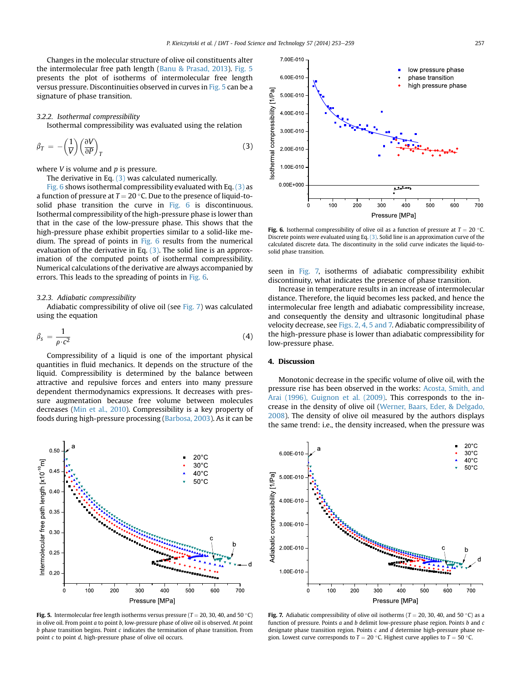Changes in the molecular structure of olive oil constituents alter the intermolecular free path length [\(Banu & Prasad, 2013\)](#page-5-0). Fig. 5 presents the plot of isotherms of intermolecular free length versus pressure. Discontinuities observed in curves in Fig. 5 can be a signature of phase transition.

## 3.2.2. Isothermal compressibility

Isothermal compressibility was evaluated using the relation

$$
\beta_T = -\left(\frac{1}{V}\right) \left(\frac{\partial V}{\partial P}\right)_T \tag{3}
$$

where  $V$  is volume and  $p$  is pressure.

The derivative in Eq. (3) was calculated numerically.

Fig. 6 shows isothermal compressibility evaluated with Eq. (3) as a function of pressure at  $T = 20$  °C. Due to the presence of liquid-tosolid phase transition the curve in Fig. 6 is discontinuous. Isothermal compressibility of the high-pressure phase is lower than that in the case of the low-pressure phase. This shows that the high-pressure phase exhibit properties similar to a solid-like medium. The spread of points in Fig. 6 results from the numerical evaluation of the derivative in Eq.  $(3)$ . The solid line is an approximation of the computed points of isothermal compressibility. Numerical calculations of the derivative are always accompanied by errors. This leads to the spreading of points in Fig. 6.

#### 3.2.3. Adiabatic compressibility

Adiabatic compressibility of olive oil (see Fig. 7) was calculated using the equation

$$
\beta_s = \frac{1}{\rho \cdot c^2} \tag{4}
$$

Compressibility of a liquid is one of the important physical quantities in fluid mechanics. It depends on the structure of the liquid. Compressibility is determined by the balance between attractive and repulsive forces and enters into many pressure dependent thermodynamics expressions. It decreases with pressure augmentation because free volume between molecules decreases [\(Min et al., 2010](#page-6-0)). Compressibility is a key property of foods during high-pressure processing ([Barbosa, 2003](#page-5-0)). As it can be



Fig. 5. Intermolecular free length isotherms versus pressure ( $T = 20, 30, 40,$  and  $50^{\circ}$ C) in olive oil. From point  $a$  to point  $b$ , low-pressure phase of olive oil is observed. At point  $b$  phase transition begins. Point  $c$  indicates the termination of phase transition. From point c to point d, high-pressure phase of olive oil occurs.



Fig. 6. Isothermal compressibility of olive oil as a function of pressure at  $T = 20$  °C. Discrete points were evaluated using Eq. (3). Solid line is an approximation curve of the calculated discrete data. The discontinuity in the solid curve indicates the liquid-tosolid phase transition.

seen in Fig. 7, isotherms of adiabatic compressibility exhibit discontinuity, what indicates the presence of phase transition.

Increase in temperature results in an increase of intermolecular distance. Therefore, the liquid becomes less packed, and hence the intermolecular free length and adiabatic compressibility increase, and consequently the density and ultrasonic longitudinal phase velocity decrease, see [Figs. 2, 4, 5 and 7.](#page-2-0) Adiabatic compressibility of the high-pressure phase is lower than adiabatic compressibility for low-pressure phase.

## 4. Discussion

Monotonic decrease in the specific volume of olive oil, with the pressure rise has been observed in the works: [Acosta, Smith, and](#page-5-0) [Arai \(1996\), Guignon et al. \(2009\)](#page-5-0). This corresponds to the increase in the density of olive oil [\(Werner, Baars, Eder, & Delgado,](#page-6-0) [2008\)](#page-6-0). The density of olive oil measured by the authors displays the same trend: i.e., the density increased, when the pressure was



Fig. 7. Adiabatic compressibility of olive oil isotherms ( $T = 20$ , 30, 40, and 50 °C) as a function of pressure. Points  $a$  and  $b$  delimit low-pressure phase region. Points  $b$  and  $c$ designate phase transition region. Points  $c$  and  $d$  determine high-pressure phase region. Lowest curve corresponds to  $T = 20$  °C. Highest curve applies to  $T = 50$  °C.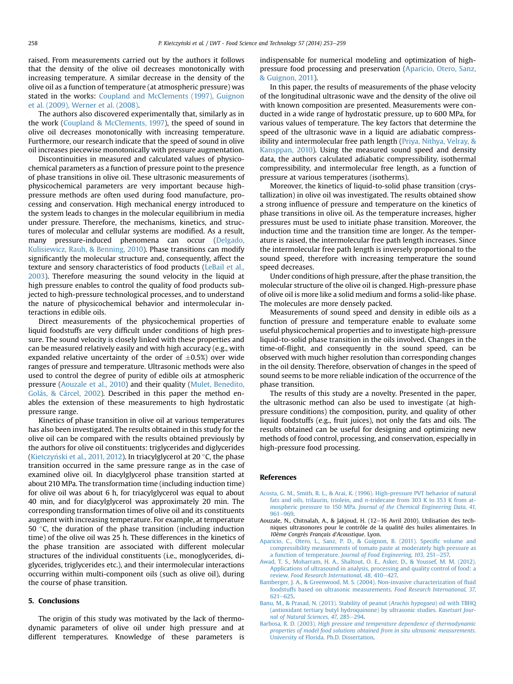<span id="page-5-0"></span>raised. From measurements carried out by the authors it follows that the density of the olive oil decreases monotonically with increasing temperature. A similar decrease in the density of the olive oil as a function of temperature (at atmospheric pressure) was stated in the works: [Coupland and McClements \(1997\), Guignon](#page-6-0) [et al. \(2009\), Werner et al. \(2008\)](#page-6-0).

The authors also discovered experimentally that, similarly as in the work ([Coupland & McClements, 1997](#page-6-0)), the speed of sound in olive oil decreases monotonically with increasing temperature. Furthermore, our research indicate that the speed of sound in olive oil increases piecewise monotonically with pressure augmentation.

Discontinuities in measured and calculated values of physicochemical parameters as a function of pressure point to the presence of phase transitions in olive oil. These ultrasonic measurements of physicochemical parameters are very important because highpressure methods are often used during food manufacture, processing and conservation. High mechanical energy introduced to the system leads to changes in the molecular equilibrium in media under pressure. Therefore, the mechanisms, kinetics, and structures of molecular and cellular systems are modified. As a result, many pressure-induced phenomena can occur [\(Delgado,](#page-6-0) [Kulisiewicz, Rauh, & Benning, 2010](#page-6-0)). Phase transitions can modify significantly the molecular structure and, consequently, affect the texture and sensory characteristics of food products ([LeBail et al.,](#page-6-0) [2003](#page-6-0)). Therefore measuring the sound velocity in the liquid at high pressure enables to control the quality of food products subjected to high-pressure technological processes, and to understand the nature of physicochemical behavior and intermolecular interactions in edible oils.

Direct measurements of the physicochemical properties of liquid foodstuffs are very difficult under conditions of high pressure. The sound velocity is closely linked with these properties and can be measured relatively easily and with high accuracy (e.g., with expanded relative uncertainty of the order of  $\pm 0.5$ %) over wide ranges of pressure and temperature. Ultrasonic methods were also used to control the degree of purity of edible oils at atmospheric pressure (Aouzale et al., 2010) and their quality [\(Mulet, Benedito,](#page-6-0) [Golás, & Cárcel, 2002\)](#page-6-0). Described in this paper the method enables the extension of these measurements to high hydrostatic pressure range.

Kinetics of phase transition in olive oil at various temperatures has also been investigated. The results obtained in this study for the olive oil can be compared with the results obtained previously by the authors for olive oil constituents: triglycerides and diglycerides ([Kie](#page-6-0)łczyński et al., 2011, 2012). In triacylglycerol at 20 $\,^{\circ}$ C, the phase transition occurred in the same pressure range as in the case of examined olive oil. In diacylglycerol phase transition started at about 210 MPa. The transformation time (including induction time) for olive oil was about 6 h, for triacylglycerol was equal to about 40 min, and for diacylglycerol was approximately 20 min. The corresponding transformation times of olive oil and its constituents augment with increasing temperature. For example, at temperature 50 $\degree$ C, the duration of the phase transition (including induction time) of the olive oil was 25 h. These differences in the kinetics of the phase transition are associated with different molecular structures of the individual constituents (i.e., monoglycerides, diglycerides, triglycerides etc.), and their intermolecular interactions occurring within multi-component oils (such as olive oil), during the course of phase transition.

## 5. Conclusions

The origin of this study was motivated by the lack of thermodynamic parameters of olive oil under high pressure and at different temperatures. Knowledge of these parameters is indispensable for numerical modeling and optimization of highpressure food processing and preservation (Aparicio, Otero, Sanz, & Guignon, 2011).

In this paper, the results of measurements of the phase velocity of the longitudinal ultrasonic wave and the density of the olive oil with known composition are presented. Measurements were conducted in a wide range of hydrostatic pressure, up to 600 MPa, for various values of temperature. The key factors that determine the speed of the ultrasonic wave in a liquid are adiabatic compressibility and intermolecular free path length ([Priya, Nithya, Velray, &](#page-6-0) [Kansppan, 2010](#page-6-0)). Using the measured sound speed and density data, the authors calculated adiabatic compressibility, isothermal compressibility, and intermolecular free length, as a function of pressure at various temperatures (isotherms).

Moreover, the kinetics of liquid-to-solid phase transition (crystallization) in olive oil was investigated. The results obtained show a strong influence of pressure and temperature on the kinetics of phase transitions in olive oil. As the temperature increases, higher pressures must be used to initiate phase transition. Moreover, the induction time and the transition time are longer. As the temperature is raised, the intermolecular free path length increases. Since the intermolecular free path length is inversely proportional to the sound speed, therefore with increasing temperature the sound speed decreases.

Under conditions of high pressure, after the phase transition, the molecular structure of the olive oil is changed. High-pressure phase of olive oil is more like a solid medium and forms a solid-like phase. The molecules are more densely packed.

Measurements of sound speed and density in edible oils as a function of pressure and temperature enable to evaluate some useful physicochemical properties and to investigate high-pressure liquid-to-solid phase transition in the oils involved. Changes in the time-of-flight, and consequently in the sound speed, can be observed with much higher resolution than corresponding changes in the oil density. Therefore, observation of changes in the speed of sound seems to be more reliable indication of the occurrence of the phase transition.

The results of this study are a novelty. Presented in the paper, the ultrasonic method can also be used to investigate (at highpressure conditions) the composition, purity, and quality of other liquid foodstuffs (e.g., fruit juices), not only the fats and oils. The results obtained can be useful for designing and optimizing new methods of food control, processing, and conservation, especially in high-pressure food processing.

#### References

- [Acosta, G. M., Smith, R. L., & Arai, K. \(1996\). High-pressure PVT behavior of natural](http://refhub.elsevier.com/S0023-6438(14)00044-9/sref1) fats and oils, trilaurin, triolein, and n[-tridecane from 303 K to 353 K from at](http://refhub.elsevier.com/S0023-6438(14)00044-9/sref1)mospheric pressure to 150 MPa. [Journal of the Chemical Engineering Data, 41](http://refhub.elsevier.com/S0023-6438(14)00044-9/sref1),  $961 - 969$  $961 - 969$
- Aouzale, N., Chitnalah, A., & Jakjoud, H. (12-16 Avril 2010). Utilisation des techniques ultrasonores pour le contrôle de la qualité des huiles alimentaires. In 10ème Congrès Français d'Acoustique. Lyon.
- [Aparicio, C., Otero, L., Sanz, P. D., & Guignon, B. \(2011\). Speci](http://refhub.elsevier.com/S0023-6438(14)00044-9/sref2)fic volume and [compressibility measurements of tomato paste at moderately high pressure as](http://refhub.elsevier.com/S0023-6438(14)00044-9/sref2) a function of temperature. [Journal of Food Engineering, 103](http://refhub.elsevier.com/S0023-6438(14)00044-9/sref2), 251-[257.](http://refhub.elsevier.com/S0023-6438(14)00044-9/sref2)
- [Awad, T. S., Moharram, H. A., Shaltout, O. E., Asker, D., & Youssef, M. M. \(2012\).](http://refhub.elsevier.com/S0023-6438(14)00044-9/sref3) [Applications of ultrasound in analysis, processing and quality control of food: a](http://refhub.elsevier.com/S0023-6438(14)00044-9/sref3) review. [Food Research International, 48](http://refhub.elsevier.com/S0023-6438(14)00044-9/sref3), 410-[427.](http://refhub.elsevier.com/S0023-6438(14)00044-9/sref3)
- [Bamberger, J. A., & Greenwood, M. S. \(2004\). Non-invasive characterization of](http://refhub.elsevier.com/S0023-6438(14)00044-9/sref4) fluid [foodstuffs based on ultrasonic measurements.](http://refhub.elsevier.com/S0023-6438(14)00044-9/sref4) Food Research International, 37,  $621 - 625$  $621 - 625$
- [Banu, M., & Prasad, N. \(2013\). Stability of peanut \(](http://refhub.elsevier.com/S0023-6438(14)00044-9/sref5)Arachis hypogaea) oil with TBHQ [\(antioxidant tertiary butyl hydroquinone\) by ultrasonic studies.](http://refhub.elsevier.com/S0023-6438(14)00044-9/sref5) Kasetsart Jour[nal of Natural Sciences, 47](http://refhub.elsevier.com/S0023-6438(14)00044-9/sref5), 285-[294](http://refhub.elsevier.com/S0023-6438(14)00044-9/sref5).
- Barbosa, R. D. (2003). [High pressure and temperature dependence of thermodynamic](http://refhub.elsevier.com/S0023-6438(14)00044-9/sref6) [properties of model food solutions obtained from in situ ultrasonic measurements](http://refhub.elsevier.com/S0023-6438(14)00044-9/sref6). [University of Florida. Ph.D. Dissertation.](http://refhub.elsevier.com/S0023-6438(14)00044-9/sref6)